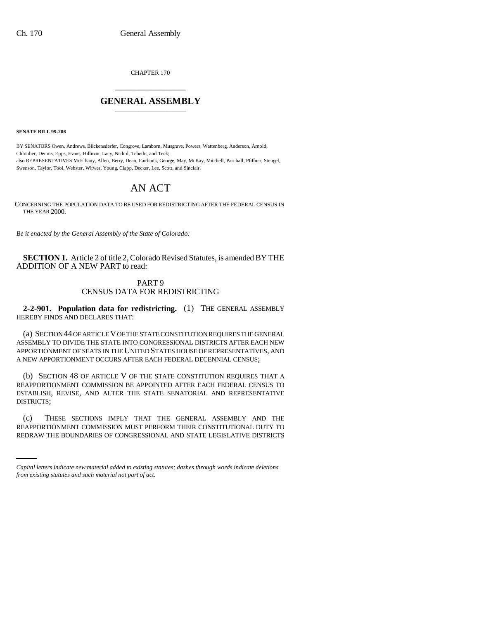CHAPTER 170 \_\_\_\_\_\_\_\_\_\_\_\_\_\_\_

## **GENERAL ASSEMBLY** \_\_\_\_\_\_\_\_\_\_\_\_\_\_\_

**SENATE BILL 99-206** 

BY SENATORS Owen, Andrews, Blickensderfer, Congrove, Lamborn, Musgrave, Powers, Wattenberg, Anderson, Arnold, Chlouber, Dennis, Epps, Evans, Hillman, Lacy, Nichol, Tebedo, and Teck; also REPRESENTATIVES McElhany, Allen, Berry, Dean, Fairbank, George, May, McKay, Mitchell, Paschall, Pfiffner, Stengel, Swenson, Taylor, Tool, Webster, Witwer, Young, Clapp, Decker, Lee, Scott, and Sinclair.

## AN ACT

CONCERNING THE POPULATION DATA TO BE USED FOR REDISTRICTING AFTER THE FEDERAL CENSUS IN THE YEAR 2000.

*Be it enacted by the General Assembly of the State of Colorado:*

**SECTION 1.** Article 2 of title 2, Colorado Revised Statutes, is amended BY THE ADDITION OF A NEW PART to read:

## PART 9 CENSUS DATA FOR REDISTRICTING

**2-2-901. Population data for redistricting.** (1) THE GENERAL ASSEMBLY HEREBY FINDS AND DECLARES THAT:

(a) SECTION 44 OF ARTICLE V OF THE STATE CONSTITUTION REQUIRES THE GENERAL ASSEMBLY TO DIVIDE THE STATE INTO CONGRESSIONAL DISTRICTS AFTER EACH NEW APPORTIONMENT OF SEATS IN THE UNITED STATES HOUSE OF REPRESENTATIVES, AND A NEW APPORTIONMENT OCCURS AFTER EACH FEDERAL DECENNIAL CENSUS;

(b) SECTION 48 OF ARTICLE V OF THE STATE CONSTITUTION REQUIRES THAT A REAPPORTIONMENT COMMISSION BE APPOINTED AFTER EACH FEDERAL CENSUS TO ESTABLISH, REVISE, AND ALTER THE STATE SENATORIAL AND REPRESENTATIVE DISTRICTS;

 $(c)$ THESE SECTIONS IMPLY THAT THE GENERAL ASSEMBLY AND THE REAPPORTIONMENT COMMISSION MUST PERFORM THEIR CONSTITUTIONAL DUTY TO REDRAW THE BOUNDARIES OF CONGRESSIONAL AND STATE LEGISLATIVE DISTRICTS

*Capital letters indicate new material added to existing statutes; dashes through words indicate deletions from existing statutes and such material not part of act.*